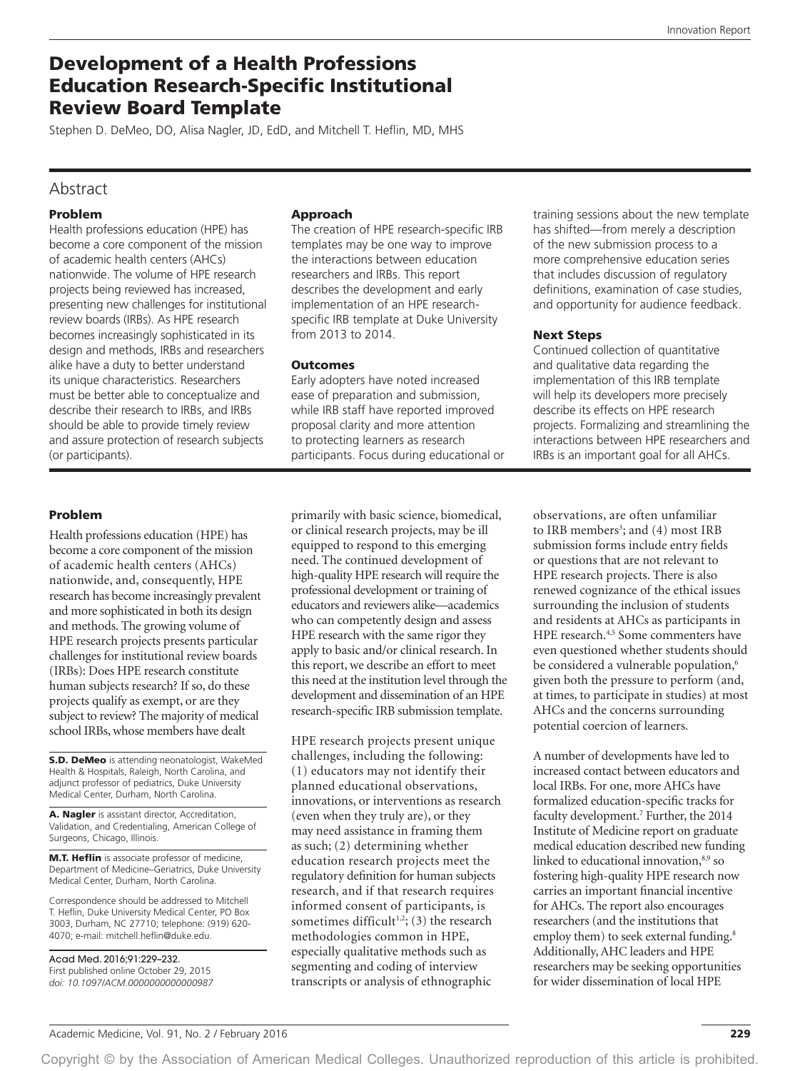# Development of a Health Professions Education Research-Specific Institutional Review Board Template

Stephen D. DeMeo, DO, Alisa Nagler, JD, EdD, and Mitchell T. Heflin, MD, MHS

## Abstract

### Problem

Health professions education (HPE) has become a core component of the mission of academic health centers (AHCs) nationwide. The volume of HPE research projects being reviewed has increased, presenting new challenges for institutional review boards (IRBs). As HPE research becomes increasingly sophisticated in its design and methods, IRBs and researchers alike have a duty to better understand its unique characteristics. Researchers must be better able to conceptualize and describe their research to IRBs, and IRBs should be able to provide timely review and assure protection of research subjects (or participants).

### Approach

The creation of HPE research-specific IRB templates may be one way to improve the interactions between education researchers and IRBs. This report describes the development and early implementation of an HPE researchspecific IRB template at Duke University from 2013 to 2014.

### **Outcomes**

Early adopters have noted increased ease of preparation and submission, while IRB staff have reported improved proposal clarity and more attention to protecting learners as research participants. Focus during educational or training sessions about the new template has shifted—from merely a description of the new submission process to a more comprehensive education series that includes discussion of regulatory definitions, examination of case studies, and opportunity for audience feedback.

### Next Steps

Continued collection of quantitative and qualitative data regarding the implementation of this IRB template will help its developers more precisely describe its effects on HPE research projects. Formalizing and streamlining the interactions between HPE researchers and IRBs is an important goal for all AHCs.

### Problem

Health professions education (HPE) has become a core component of the mission of academic health centers (AHCs) nationwide, and, consequently, HPE research has become increasingly prevalent and more sophisticated in both its design and methods. The growing volume of HPE research projects presents particular challenges for institutional review boards (IRBs): Does HPE research constitute human subjects research? If so, do these projects qualify as exempt, or are they subject to review? The majority of medical school IRBs, whose members have dealt

S.D. DeMeo is attending neonatologist, WakeMed Health & Hospitals, Raleigh, North Carolina, and adjunct professor of pediatrics, Duke University Medical Center, Durham, North Carolina.

A. Nagler is assistant director, Accreditation, Validation, and Credentialing, American College of Surgeons, Chicago, Illinois.

**M.T. Heflin** is associate professor of medicine, Department of Medicine–Geriatrics, Duke University Medical Center, Durham, North Carolina.

Correspondence should be addressed to Mitchell T. Heflin, Duke University Medical Center, PO Box 3003, Durham, NC 27710; telephone: (919) 620- 4070; e-mail: [mitchell.heflin@duke.edu](mailto:mitchell.heflin@duke.edu).

Acad Med. 2016;91:229–232. First published online October 29, 2015 *doi: 10.1097/ACM.0000000000000987* primarily with basic science, biomedical, or clinical research projects, may be ill equipped to respond to this emerging need. The continued development of high-quality HPE research will require the professional development or training of educators and reviewers alike—academics who can competently design and assess HPE research with the same rigor they apply to basic and/or clinical research. In this report, we describe an effort to meet this need at the institution level through the development and dissemination of an HPE research-specific IRB submission template.

HPE research projects present unique challenges, including the following: (1) educators may not identify their planned educational observations, innovations, or interventions as research (even when they truly are), or they may need assistance in framing them as such; (2) determining whether education research projects meet the regulatory definition for human subjects research, and if that research requires informed consent of participants, is sometimes difficult<sup>1,2</sup>; (3) the research methodologies common in HPE, especially qualitative methods such as segmenting and coding of interview transcripts or analysis of ethnographic

observations, are often unfamiliar to IRB members<sup>3</sup>; and (4) most IRB submission forms include entry fields or questions that are not relevant to HPE research projects. There is also renewed cognizance of the ethical issues surrounding the inclusion of students and residents at AHCs as participants in HPE research.<sup>4,5</sup> Some commenters have even questioned whether students should be considered a vulnerable population,<sup>6</sup> given both the pressure to perform (and, at times, to participate in studies) at most AHCs and the concerns surrounding potential coercion of learners.

A number of developments have led to increased contact between educators and local IRBs. For one, more AHCs have formalized education-specific tracks for faculty development.<sup>7</sup> Further, the 2014 Institute of Medicine report on graduate medical education described new funding linked to educational innovation,<sup>8,9</sup> so fostering high-quality HPE research now carries an important financial incentive for AHCs. The report also encourages researchers (and the institutions that employ them) to seek external funding.<sup>8</sup> Additionally, AHC leaders and HPE researchers may be seeking opportunities for wider dissemination of local HPE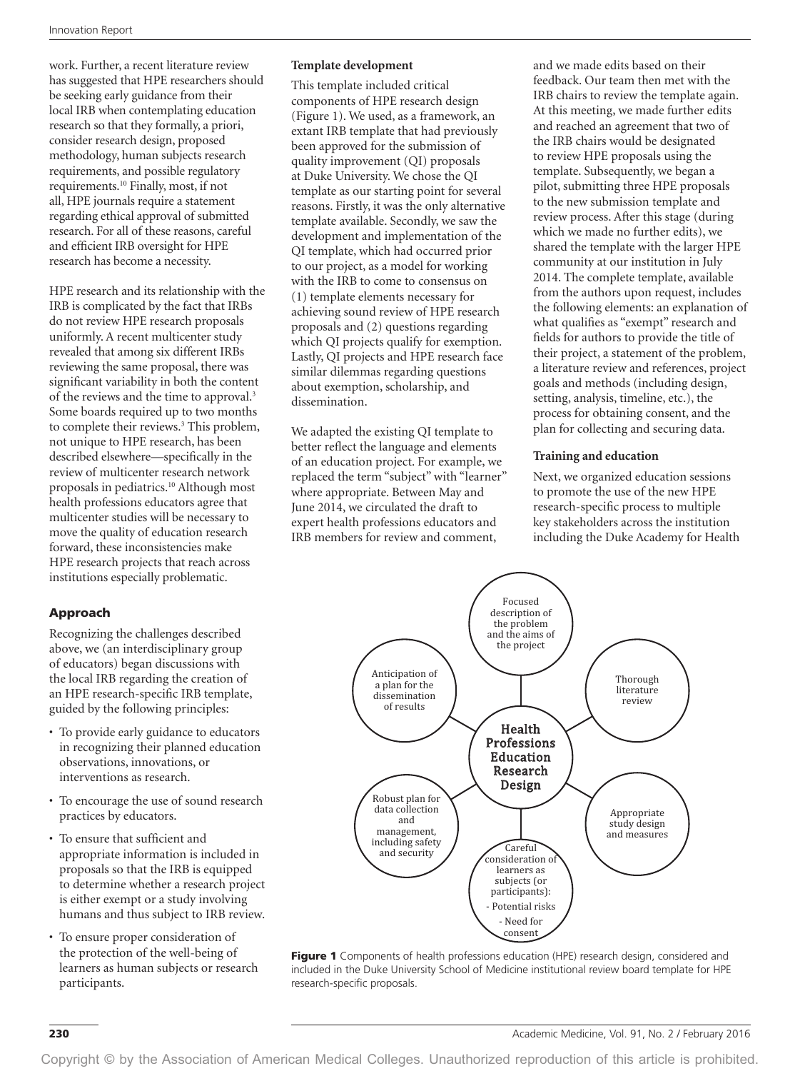work. Further, a recent literature review has suggested that HPE researchers should be seeking early guidance from their local IRB when contemplating education research so that they formally, a priori, consider research design, proposed methodology, human subjects research requirements, and possible regulatory requirements.10 Finally, most, if not all, HPE journals require a statement regarding ethical approval of submitted research. For all of these reasons, careful and efficient IRB oversight for HPE research has become a necessity.

HPE research and its relationship with the IRB is complicated by the fact that IRBs do not review HPE research proposals uniformly. A recent multicenter study revealed that among six different IRBs reviewing the same proposal, there was significant variability in both the content of the reviews and the time to approval.3 Some boards required up to two months to complete their reviews.<sup>3</sup> This problem, not unique to HPE research, has been described elsewhere—specifically in the review of multicenter research network proposals in pediatrics.<sup>10</sup> Although most health professions educators agree that multicenter studies will be necessary to move the quality of education research forward, these inconsistencies make HPE research projects that reach across institutions especially problematic.

# Approach

Recognizing the challenges described above, we (an interdisciplinary group of educators) began discussions with the local IRB regarding the creation of an HPE research-specific IRB template, guided by the following principles:

- To provide early guidance to educators in recognizing their planned education observations, innovations, or interventions as research.
- To encourage the use of sound research practices by educators.
- To ensure that sufficient and appropriate information is included in proposals so that the IRB is equipped to determine whether a research project is either exempt or a study involving humans and thus subject to IRB review.
- To ensure proper consideration of the protection of the well-being of learners as human subjects or research participants.

# **Template development**

This template included critical components of HPE research design (Figure 1). We used, as a framework, an extant IRB template that had previously been approved for the submission of quality improvement (QI) proposals at Duke University. We chose the QI template as our starting point for several reasons. Firstly, it was the only alternative template available. Secondly, we saw the development and implementation of the QI template, which had occurred prior to our project, as a model for working with the IRB to come to consensus on (1) template elements necessary for achieving sound review of HPE research proposals and (2) questions regarding which QI projects qualify for exemption. Lastly, QI projects and HPE research face similar dilemmas regarding questions about exemption, scholarship, and dissemination.

We adapted the existing QI template to better reflect the language and elements of an education project. For example, we replaced the term "subject" with "learner" where appropriate. Between May and June 2014, we circulated the draft to expert health professions educators and IRB members for review and comment,

and we made edits based on their feedback. Our team then met with the IRB chairs to review the template again. At this meeting, we made further edits and reached an agreement that two of the IRB chairs would be designated to review HPE proposals using the template. Subsequently, we began a pilot, submitting three HPE proposals to the new submission template and review process. After this stage (during which we made no further edits), we shared the template with the larger HPE community at our institution in July 2014. The complete template, available from the authors upon request, includes the following elements: an explanation of what qualifies as "exempt" research and fields for authors to provide the title of their project, a statement of the problem, a literature review and references, project goals and methods (including design, setting, analysis, timeline, etc.), the process for obtaining consent, and the plan for collecting and securing data.

# **Training and education**

Next, we organized education sessions to promote the use of the new HPE research-specific process to multiple key stakeholders across the institution including the Duke Academy for Health



Figure 1 Components of health professions education (HPE) research design, considered and included in the Duke University School of Medicine institutional review board template for HPE research-specific proposals.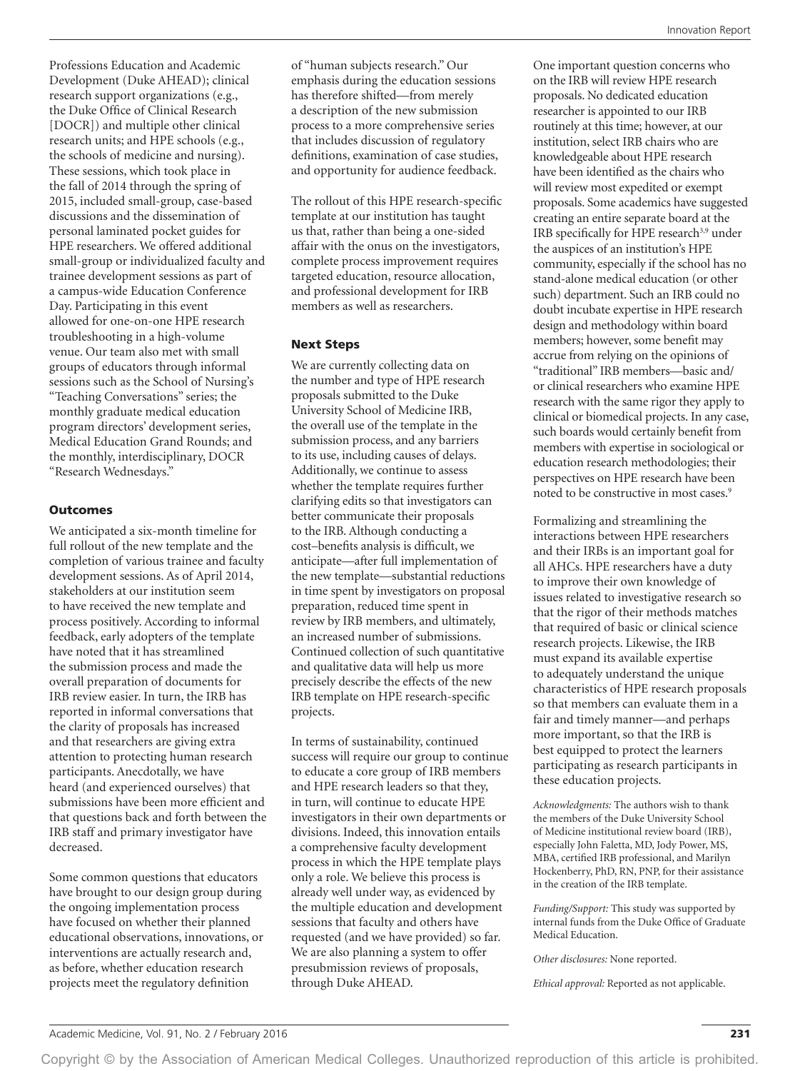Professions Education and Academic Development (Duke AHEAD); clinical research support organizations (e.g., the Duke Office of Clinical Research [DOCR]) and multiple other clinical research units; and HPE schools (e.g., the schools of medicine and nursing). These sessions, which took place in the fall of 2014 through the spring of 2015, included small-group, case-based discussions and the dissemination of personal laminated pocket guides for HPE researchers. We offered additional small-group or individualized faculty and trainee development sessions as part of a campus-wide Education Conference Day. Participating in this event allowed for one-on-one HPE research troubleshooting in a high-volume venue. Our team also met with small groups of educators through informal sessions such as the School of Nursing's "Teaching Conversations" series; the monthly graduate medical education program directors' development series, Medical Education Grand Rounds; and the monthly, interdisciplinary, DOCR "Research Wednesdays."

# **Outcomes**

We anticipated a six-month timeline for full rollout of the new template and the completion of various trainee and faculty development sessions. As of April 2014, stakeholders at our institution seem to have received the new template and process positively. According to informal feedback, early adopters of the template have noted that it has streamlined the submission process and made the overall preparation of documents for IRB review easier. In turn, the IRB has reported in informal conversations that the clarity of proposals has increased and that researchers are giving extra attention to protecting human research participants. Anecdotally, we have heard (and experienced ourselves) that submissions have been more efficient and that questions back and forth between the IRB staff and primary investigator have decreased.

Some common questions that educators have brought to our design group during the ongoing implementation process have focused on whether their planned educational observations, innovations, or interventions are actually research and, as before, whether education research projects meet the regulatory definition

of "human subjects research." Our emphasis during the education sessions has therefore shifted—from merely a description of the new submission process to a more comprehensive series that includes discussion of regulatory definitions, examination of case studies, and opportunity for audience feedback.

The rollout of this HPE research-specific template at our institution has taught us that, rather than being a one-sided affair with the onus on the investigators, complete process improvement requires targeted education, resource allocation, and professional development for IRB members as well as researchers.

### Next Steps

We are currently collecting data on the number and type of HPE research proposals submitted to the Duke University School of Medicine IRB, the overall use of the template in the submission process, and any barriers to its use, including causes of delays. Additionally, we continue to assess whether the template requires further clarifying edits so that investigators can better communicate their proposals to the IRB. Although conducting a cost–benefits analysis is difficult, we anticipate—after full implementation of the new template—substantial reductions in time spent by investigators on proposal preparation, reduced time spent in review by IRB members, and ultimately, an increased number of submissions. Continued collection of such quantitative and qualitative data will help us more precisely describe the effects of the new IRB template on HPE research-specific projects.

In terms of sustainability, continued success will require our group to continue to educate a core group of IRB members and HPE research leaders so that they, in turn, will continue to educate HPE investigators in their own departments or divisions. Indeed, this innovation entails a comprehensive faculty development process in which the HPE template plays only a role. We believe this process is already well under way, as evidenced by the multiple education and development sessions that faculty and others have requested (and we have provided) so far. We are also planning a system to offer presubmission reviews of proposals, through Duke AHEAD.

One important question concerns who on the IRB will review HPE research proposals. No dedicated education researcher is appointed to our IRB routinely at this time; however, at our institution, select IRB chairs who are knowledgeable about HPE research have been identified as the chairs who will review most expedited or exempt proposals. Some academics have suggested creating an entire separate board at the IRB specifically for HPE research<sup>3,9</sup> under the auspices of an institution's HPE community, especially if the school has no stand-alone medical education (or other such) department. Such an IRB could no doubt incubate expertise in HPE research design and methodology within board members; however, some benefit may accrue from relying on the opinions of "traditional" IRB members—basic and/ or clinical researchers who examine HPE research with the same rigor they apply to clinical or biomedical projects. In any case, such boards would certainly benefit from members with expertise in sociological or education research methodologies; their perspectives on HPE research have been noted to be constructive in most cases.<sup>9</sup>

Formalizing and streamlining the interactions between HPE researchers and their IRBs is an important goal for all AHCs. HPE researchers have a duty to improve their own knowledge of issues related to investigative research so that the rigor of their methods matches that required of basic or clinical science research projects. Likewise, the IRB must expand its available expertise to adequately understand the unique characteristics of HPE research proposals so that members can evaluate them in a fair and timely manner—and perhaps more important, so that the IRB is best equipped to protect the learners participating as research participants in these education projects.

*Acknowledgments:* The authors wish to thank the members of the Duke University School of Medicine institutional review board (IRB), especially John Faletta, MD, Jody Power, MS, MBA, certified IRB professional, and Marilyn Hockenberry, PhD, RN, PNP, for their assistance in the creation of the IRB template.

*Funding/Support:* This study was supported by internal funds from the Duke Office of Graduate Medical Education.

*Other disclosures:* None reported.

*Ethical approval:* Reported as not applicable.